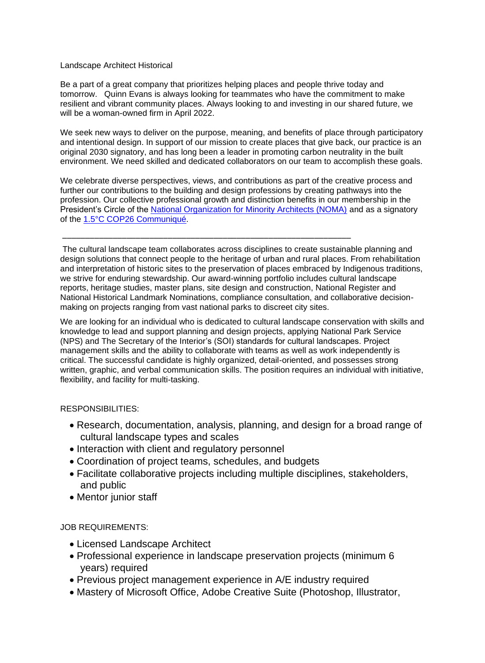## Landscape Architect Historical

Be a part of a great company that prioritizes helping places and people thrive today and tomorrow. Quinn Evans is always looking for teammates who have the commitment to make resilient and vibrant community places. Always looking to and investing in our shared future, we will be a woman-owned firm in April 2022.

We seek new ways to deliver on the purpose, meaning, and benefits of place through participatory and intentional design. In support of our mission to create places that give back, our practice is an original 2030 signatory, and has long been a leader in promoting carbon neutrality in the built environment. We need skilled and dedicated collaborators on our team to accomplish these goals.

We celebrate diverse perspectives, views, and contributions as part of the creative process and further our contributions to the building and design professions by creating pathways into the profession. Our collective professional growth and distinction benefits in our membership in the President's Circle of the [National Organization for Minority Architects \(NOMA\)](https://www.noma.net/about-noma/) and as a signatory of the [1.5°C COP26 Communiqué.](https://architecture2030.org/1-5c-cop26-communique/)

\_\_\_\_\_\_\_\_\_\_\_\_\_\_\_\_\_\_\_\_\_\_\_\_\_\_\_\_\_\_\_\_\_\_\_\_\_\_\_\_\_\_\_\_\_\_\_\_\_\_\_\_\_\_\_\_\_\_\_\_\_\_\_

The cultural landscape team collaborates across disciplines to create sustainable planning and design solutions that connect people to the heritage of urban and rural places. From rehabilitation and interpretation of historic sites to the preservation of places embraced by Indigenous traditions, we strive for enduring stewardship. Our award-winning portfolio includes cultural landscape reports, heritage studies, master plans, site design and construction, National Register and National Historical Landmark Nominations, compliance consultation, and collaborative decisionmaking on projects ranging from vast national parks to discreet city sites.

We are looking for an individual who is dedicated to cultural landscape conservation with skills and knowledge to lead and support planning and design projects, applying National Park Service (NPS) and The Secretary of the Interior's (SOI) standards for cultural landscapes. Project management skills and the ability to collaborate with teams as well as work independently is critical. The successful candidate is highly organized, detail-oriented, and possesses strong written, graphic, and verbal communication skills. The position requires an individual with initiative, flexibility, and facility for multi-tasking.

## RESPONSIBILITIES:

- Research, documentation, analysis, planning, and design for a broad range of cultural landscape types and scales
- Interaction with client and regulatory personnel
- Coordination of project teams, schedules, and budgets
- Facilitate collaborative projects including multiple disciplines, stakeholders, and public
- Mentor junior staff

## JOB REQUIREMENTS:

- Licensed Landscape Architect
- Professional experience in landscape preservation projects (minimum 6 years) required
- Previous project management experience in A/E industry required
- Mastery of Microsoft Office, Adobe Creative Suite (Photoshop, Illustrator,